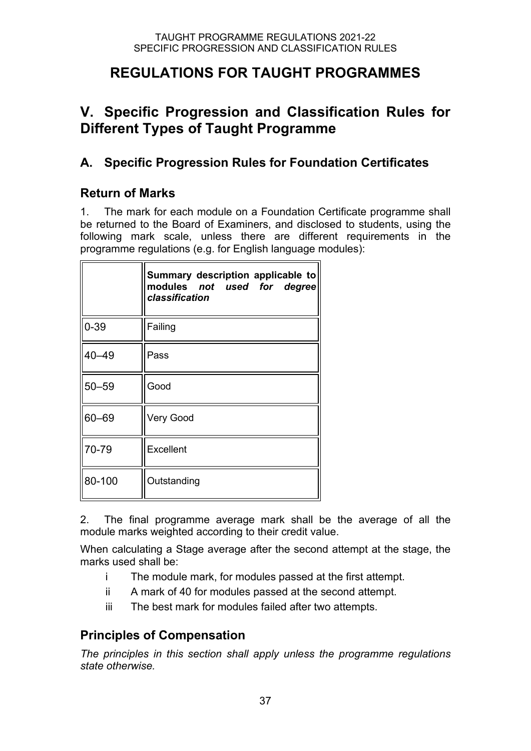# **REGULATIONS FOR TAUGHT PROGRAMMES**

# **V. Specific Progression and Classification Rules for Different Types of Taught Programme**

## **A. Specific Progression Rules for Foundation Certificates**

## **Return of Marks**

1. The mark for each module on a Foundation Certificate programme shall be returned to the Board of Examiners, and disclosed to students, using the following mark scale, unless there are different requirements in the programme regulations (e.g. for English language modules):

|           | Summary description applicable to<br>modules not used for degree<br>classification |  |
|-----------|------------------------------------------------------------------------------------|--|
| $0 - 39$  | Failing                                                                            |  |
| $40 - 49$ | Pass                                                                               |  |
| $50 - 59$ | Good                                                                               |  |
| $60 - 69$ | <b>Very Good</b>                                                                   |  |
| 70-79     | Excellent                                                                          |  |
| 80-100    | Outstanding                                                                        |  |

2. The final programme average mark shall be the average of all the module marks weighted according to their credit value.

When calculating a Stage average after the second attempt at the stage, the marks used shall be:

- i The module mark, for modules passed at the first attempt.
- ii A mark of 40 for modules passed at the second attempt.
- iii The best mark for modules failed after two attempts.

## **Principles of Compensation**

*The principles in this section shall apply unless the programme regulations state otherwise.*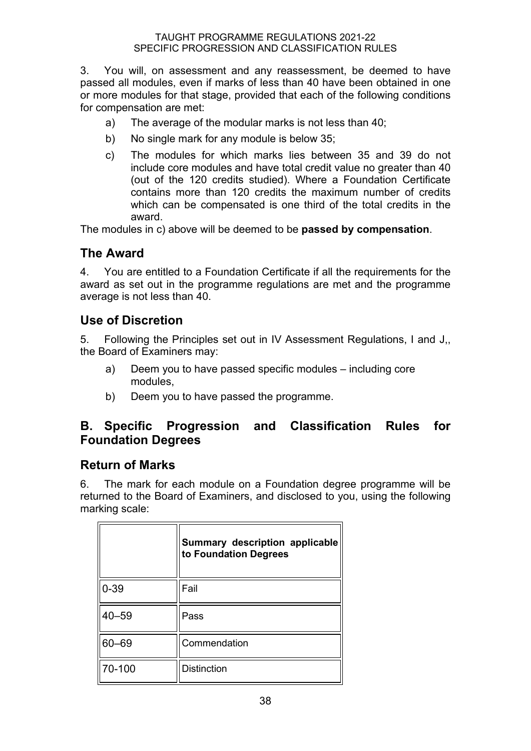3. You will, on assessment and any reassessment, be deemed to have passed all modules, even if marks of less than 40 have been obtained in one or more modules for that stage, provided that each of the following conditions for compensation are met:

- a) The average of the modular marks is not less than 40;
- b) No single mark for any module is below 35;
- c) The modules for which marks lies between 35 and 39 do not include core modules and have total credit value no greater than 40 (out of the 120 credits studied). Where a Foundation Certificate contains more than 120 credits the maximum number of credits which can be compensated is one third of the total credits in the award.

The modules in c) above will be deemed to be **passed by compensation**.

#### **The Award**

4. You are entitled to a Foundation Certificate if all the requirements for the award as set out in the programme regulations are met and the programme average is not less than 40.

#### **Use of Discretion**

5. Following the Principles set out in IV Assessment Regulations, I and J,, the Board of Examiners may:

- a) Deem you to have passed specific modules including core modules,
- b) Deem you to have passed the programme.

## **B. Specific Progression and Classification Rules for Foundation Degrees**

#### **Return of Marks**

6. The mark for each module on a Foundation degree programme will be returned to the Board of Examiners, and disclosed to you, using the following marking scale:

|        | Summary description applicable<br>to Foundation Degrees |  |
|--------|---------------------------------------------------------|--|
| 0-39   | Fail                                                    |  |
| 40–59  | Pass                                                    |  |
| 60-69  | Commendation                                            |  |
| 70-100 | <b>Distinction</b>                                      |  |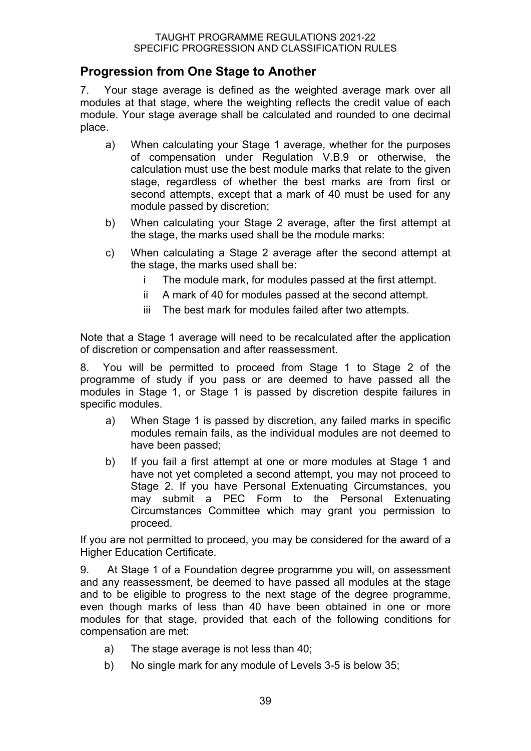### **Progression from One Stage to Another**

7. Your stage average is defined as the weighted average mark over all modules at that stage, where the weighting reflects the credit value of each module. Your stage average shall be calculated and rounded to one decimal place.

- a) When calculating your Stage 1 average, whether for the purposes of compensation under Regulation V.B.9 or otherwise, the calculation must use the best module marks that relate to the given stage, regardless of whether the best marks are from first or second attempts, except that a mark of 40 must be used for any module passed by discretion;
- b) When calculating your Stage 2 average, after the first attempt at the stage, the marks used shall be the module marks:
- c) When calculating a Stage 2 average after the second attempt at the stage, the marks used shall be:
	- i The module mark, for modules passed at the first attempt.
	- ii A mark of 40 for modules passed at the second attempt.
	- iii The best mark for modules failed after two attempts.

Note that a Stage 1 average will need to be recalculated after the application of discretion or compensation and after reassessment.

8. You will be permitted to proceed from Stage 1 to Stage 2 of the programme of study if you pass or are deemed to have passed all the modules in Stage 1, or Stage 1 is passed by discretion despite failures in specific modules.

- a) When Stage 1 is passed by discretion, any failed marks in specific modules remain fails, as the individual modules are not deemed to have been passed;
- b) If you fail a first attempt at one or more modules at Stage 1 and have not yet completed a second attempt, you may not proceed to Stage 2. If you have Personal Extenuating Circumstances, you may submit a PEC Form to the Personal Extenuating Circumstances Committee which may grant you permission to proceed.

If you are not permitted to proceed, you may be considered for the award of a Higher Education Certificate.

9. At Stage 1 of a Foundation degree programme you will, on assessment and any reassessment, be deemed to have passed all modules at the stage and to be eligible to progress to the next stage of the degree programme, even though marks of less than 40 have been obtained in one or more modules for that stage, provided that each of the following conditions for compensation are met:

- a) The stage average is not less than 40;
- b) No single mark for any module of Levels 3-5 is below 35;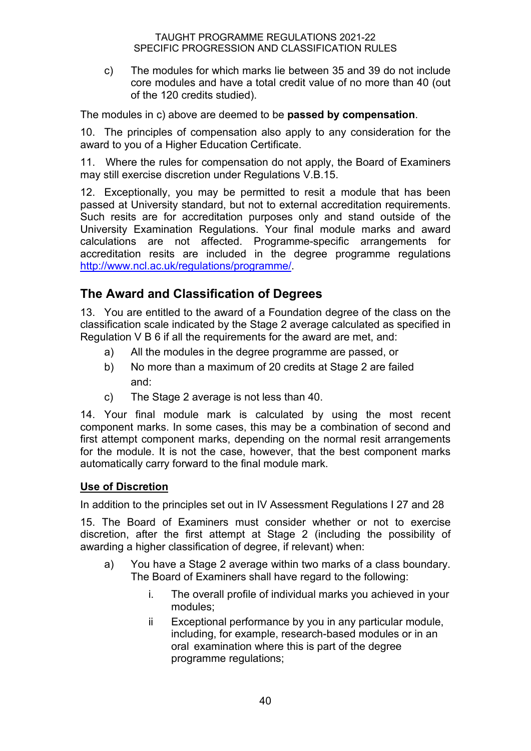c) The modules for which marks lie between 35 and 39 do not include core modules and have a total credit value of no more than 40 (out of the 120 credits studied).

The modules in c) above are deemed to be **passed by compensation**.

10. The principles of compensation also apply to any consideration for the award to you of a Higher Education Certificate.

11. Where the rules for compensation do not apply, the Board of Examiners may still exercise discretion under Regulations V.B.15.

12. Exceptionally, you may be permitted to resit a module that has been passed at University standard, but not to external accreditation requirements. Such resits are for accreditation purposes only and stand outside of the University Examination Regulations. Your final module marks and award calculations are not affected. Programme-specific arrangements for accreditation resits are included in the degree programme regulations [http://www.ncl.ac.uk/regulations/programme/.](http://www.ncl.ac.uk/regulations/programme/)

## **The Award and Classification of Degrees**

13. You are entitled to the award of a Foundation degree of the class on the classification scale indicated by the Stage 2 average calculated as specified in Regulation V B 6 if all the requirements for the award are met, and:

- a) All the modules in the degree programme are passed, or
- b) No more than a maximum of 20 credits at Stage 2 are failed and:
- c) The Stage 2 average is not less than 40.

14. Your final module mark is calculated by using the most recent component marks. In some cases, this may be a combination of second and first attempt component marks, depending on the normal resit arrangements for the module. It is not the case, however, that the best component marks automatically carry forward to the final module mark.

#### **Use of Discretion**

In addition to the principles set out in IV Assessment Regulations I 27 and 28

15. The Board of Examiners must consider whether or not to exercise discretion, after the first attempt at Stage 2 (including the possibility of awarding a higher classification of degree, if relevant) when:

- a) You have a Stage 2 average within two marks of a class boundary. The Board of Examiners shall have regard to the following:
	- i. The overall profile of individual marks you achieved in your modules;
	- ii Exceptional performance by you in any particular module, including, for example, research-based modules or in an oral examination where this is part of the degree programme regulations;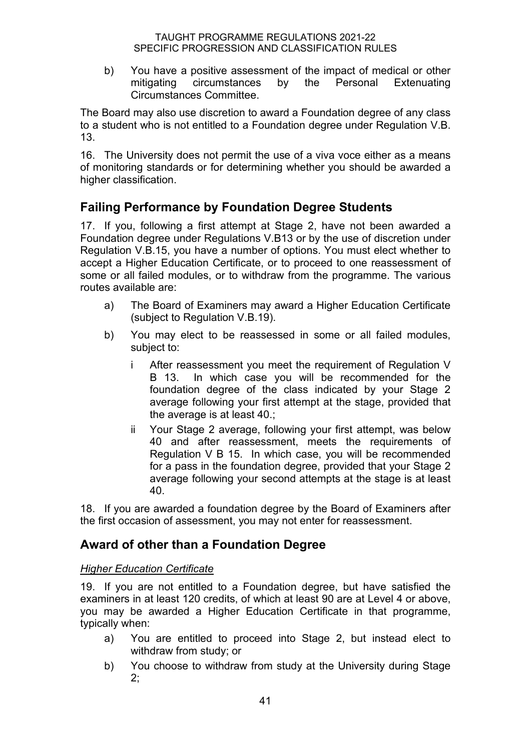b) You have a positive assessment of the impact of medical or other mitigating circumstances by the Personal Extenuating Circumstances Committee.

The Board may also use discretion to award a Foundation degree of any class to a student who is not entitled to a Foundation degree under Regulation V.B. 13.

16. The University does not permit the use of a viva voce either as a means of monitoring standards or for determining whether you should be awarded a higher classification.

## **Failing Performance by Foundation Degree Students**

17. If you, following a first attempt at Stage 2, have not been awarded a Foundation degree under Regulations V.B13 or by the use of discretion under Regulation V.B.15, you have a number of options. You must elect whether to accept a Higher Education Certificate, or to proceed to one reassessment of some or all failed modules, or to withdraw from the programme. The various routes available are:

- a) The Board of Examiners may award a Higher Education Certificate (subject to Regulation V.B.19).
- b) You may elect to be reassessed in some or all failed modules, subject to:
	- i After reassessment you meet the requirement of Regulation V B 13. In which case you will be recommended for the foundation degree of the class indicated by your Stage 2 average following your first attempt at the stage, provided that the average is at least 40.;
	- ii Your Stage 2 average, following your first attempt, was below 40 and after reassessment, meets the requirements of Regulation V B 15. In which case, you will be recommended for a pass in the foundation degree, provided that your Stage 2 average following your second attempts at the stage is at least 40.

18. If you are awarded a foundation degree by the Board of Examiners after the first occasion of assessment, you may not enter for reassessment.

## **Award of other than a Foundation Degree**

#### *Higher Education Certificate*

19. If you are not entitled to a Foundation degree, but have satisfied the examiners in at least 120 credits, of which at least 90 are at Level 4 or above, you may be awarded a Higher Education Certificate in that programme, typically when:

- a) You are entitled to proceed into Stage 2, but instead elect to withdraw from study; or
- b) You choose to withdraw from study at the University during Stage 2;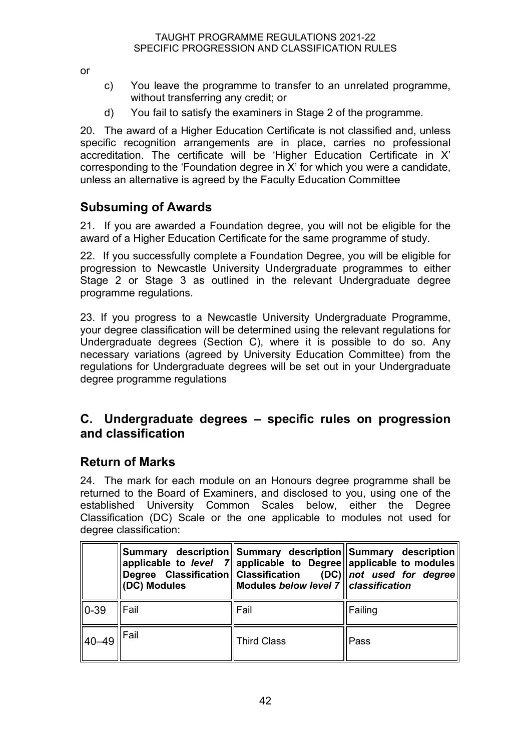or

- c) You leave the programme to transfer to an unrelated programme, without transferring any credit; or
- d) You fail to satisfy the examiners in Stage 2 of the programme.

20. The award of a Higher Education Certificate is not classified and, unless specific recognition arrangements are in place, carries no professional accreditation. The certificate will be 'Higher Education Certificate in X' corresponding to the 'Foundation degree in X' for which you were a candidate, unless an alternative is agreed by the Faculty Education Committee

## **Subsuming of Awards**

21. If you are awarded a Foundation degree, you will not be eligible for the award of a Higher Education Certificate for the same programme of study.

22. If you successfully complete a Foundation Degree, you will be eligible for progression to Newcastle University Undergraduate programmes to either Stage 2 or Stage 3 as outlined in the relevant Undergraduate degree programme regulations.

23. If you progress to a Newcastle University Undergraduate Programme, your degree classification will be determined using the relevant regulations for Undergraduate degrees (Section C), where it is possible to do so. Any necessary variations (agreed by University Education Committee) from the regulations for Undergraduate degrees will be set out in your Undergraduate degree programme regulations

#### **C. Undergraduate degrees – specific rules on progression and classification**

## **Return of Marks**

24. The mark for each module on an Honours degree programme shall be returned to the Board of Examiners, and disclosed to you, using one of the established University Common Scales below, either the Degree Classification (DC) Scale or the one applicable to modules not used for degree classification:

|         | (DC) Modules | Summary description Summary description Summary description<br>Modules below level 7   classification | applicable to level $7$ applicable to Degree applicable to modules<br>Degree Classification Classification (DC) not used for degree |
|---------|--------------|-------------------------------------------------------------------------------------------------------|-------------------------------------------------------------------------------------------------------------------------------------|
| 10-39   | Fail         | Fail                                                                                                  | Failing                                                                                                                             |
| ll40–49 | Fail         | <b>Third Class</b>                                                                                    | Pass                                                                                                                                |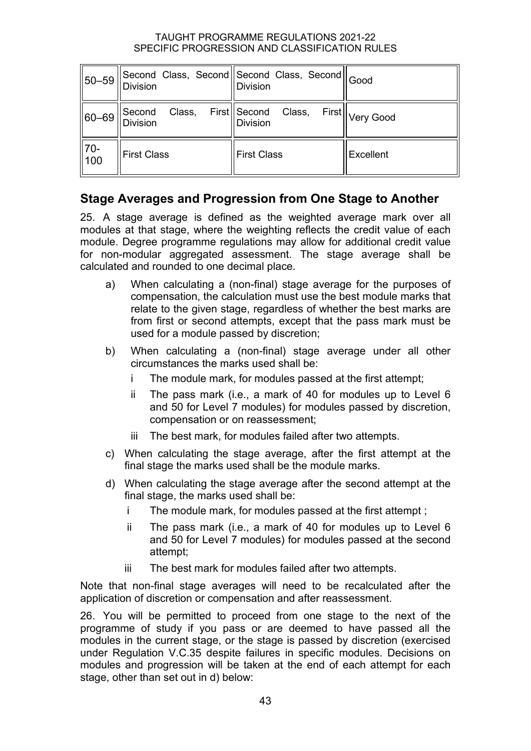| 50-59                 | <b>Division</b>           | Second Class, Second Second Class, Second Good<br><b>Division</b> |                              |
|-----------------------|---------------------------|-------------------------------------------------------------------|------------------------------|
| $ 60 - 69 $           | Second<br><b>Division</b> | Class, First Second Class,<br><b>Division</b>                     | First   <sub>Very Good</sub> |
| $ 70-$<br>$\vert$ 100 | <b>First Class</b>        | <b>First Class</b>                                                | Excellent                    |

## **Stage Averages and Progression from One Stage to Another**

25. A stage average is defined as the weighted average mark over all modules at that stage, where the weighting reflects the credit value of each module. Degree programme regulations may allow for additional credit value for non-modular aggregated assessment. The stage average shall be calculated and rounded to one decimal place.

- a) When calculating a (non-final) stage average for the purposes of compensation, the calculation must use the best module marks that relate to the given stage, regardless of whether the best marks are from first or second attempts, except that the pass mark must be used for a module passed by discretion;
- b) When calculating a (non-final) stage average under all other circumstances the marks used shall be:
	- i The module mark, for modules passed at the first attempt;
	- ii The pass mark (i.e., a mark of 40 for modules up to Level 6 and 50 for Level 7 modules) for modules passed by discretion, compensation or on reassessment;
	- iii The best mark, for modules failed after two attempts.
- c) When calculating the stage average, after the first attempt at the final stage the marks used shall be the module marks.
- d) When calculating the stage average after the second attempt at the final stage, the marks used shall be:
	- i The module mark, for modules passed at the first attempt ;
	- ii The pass mark (i.e., a mark of 40 for modules up to Level 6 and 50 for Level 7 modules) for modules passed at the second attempt;
	- iii The best mark for modules failed after two attempts.

Note that non-final stage averages will need to be recalculated after the application of discretion or compensation and after reassessment.

26. You will be permitted to proceed from one stage to the next of the programme of study if you pass or are deemed to have passed all the modules in the current stage, or the stage is passed by discretion (exercised under Regulation V.C.35 despite failures in specific modules. Decisions on modules and progression will be taken at the end of each attempt for each stage, other than set out in d) below: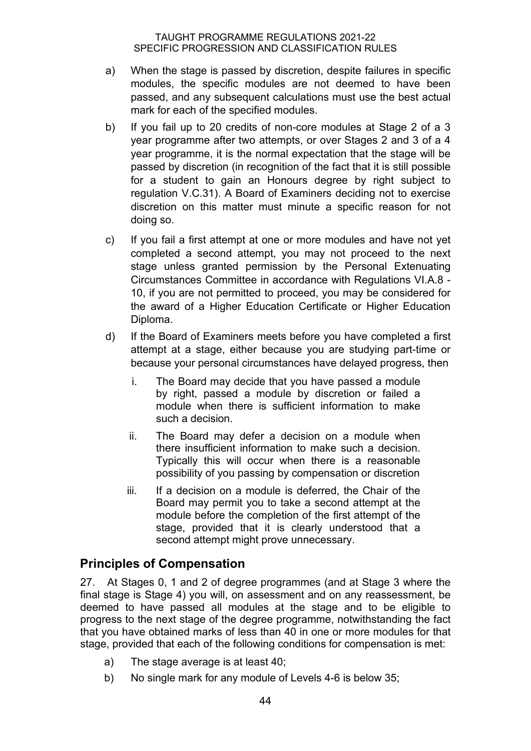- a) When the stage is passed by discretion, despite failures in specific modules, the specific modules are not deemed to have been passed, and any subsequent calculations must use the best actual mark for each of the specified modules.
- b) If you fail up to 20 credits of non-core modules at Stage 2 of a 3 year programme after two attempts, or over Stages 2 and 3 of a 4 year programme, it is the normal expectation that the stage will be passed by discretion (in recognition of the fact that it is still possible for a student to gain an Honours degree by right subject to regulation V.C.31). A Board of Examiners deciding not to exercise discretion on this matter must minute a specific reason for not doing so.
- c) If you fail a first attempt at one or more modules and have not yet completed a second attempt, you may not proceed to the next stage unless granted permission by the Personal Extenuating Circumstances Committee in accordance with Regulations VI.A.8 - 10, if you are not permitted to proceed, you may be considered for the award of a Higher Education Certificate or Higher Education Diploma.
- d) If the Board of Examiners meets before you have completed a first attempt at a stage, either because you are studying part-time or because your personal circumstances have delayed progress, then
	- i. The Board may decide that you have passed a module by right, passed a module by discretion or failed a module when there is sufficient information to make such a decision.
	- ii. The Board may defer a decision on a module when there insufficient information to make such a decision. Typically this will occur when there is a reasonable possibility of you passing by compensation or discretion
	- iii. If a decision on a module is deferred, the Chair of the Board may permit you to take a second attempt at the module before the completion of the first attempt of the stage, provided that it is clearly understood that a second attempt might prove unnecessary.

## **Principles of Compensation**

27. At Stages 0, 1 and 2 of degree programmes (and at Stage 3 where the final stage is Stage 4) you will, on assessment and on any reassessment, be deemed to have passed all modules at the stage and to be eligible to progress to the next stage of the degree programme, notwithstanding the fact that you have obtained marks of less than 40 in one or more modules for that stage, provided that each of the following conditions for compensation is met:

- a) The stage average is at least 40;
- b) No single mark for any module of Levels 4-6 is below 35;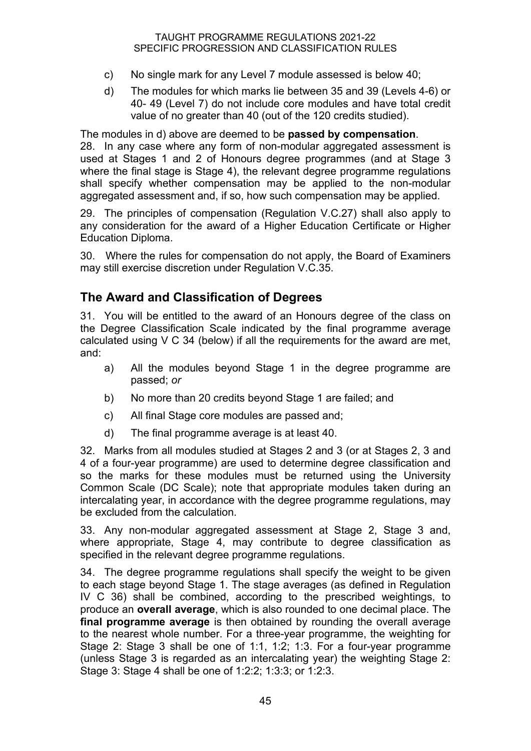- c) No single mark for any Level 7 module assessed is below 40;
- d) The modules for which marks lie between 35 and 39 (Levels 4-6) or 40- 49 (Level 7) do not include core modules and have total credit value of no greater than 40 (out of the 120 credits studied).

The modules in d) above are deemed to be **passed by compensation**. 28. In any case where any form of non-modular aggregated assessment is used at Stages 1 and 2 of Honours degree programmes (and at Stage 3 where the final stage is Stage 4), the relevant degree programme regulations shall specify whether compensation may be applied to the non-modular aggregated assessment and, if so, how such compensation may be applied.

29. The principles of compensation (Regulation V.C.27) shall also apply to any consideration for the award of a Higher Education Certificate or Higher Education Diploma.

30. Where the rules for compensation do not apply, the Board of Examiners may still exercise discretion under Regulation V.C.35.

## **The Award and Classification of Degrees**

31. You will be entitled to the award of an Honours degree of the class on the Degree Classification Scale indicated by the final programme average calculated using V C 34 (below) if all the requirements for the award are met, and:

- a) All the modules beyond Stage 1 in the degree programme are passed; *or*
- b) No more than 20 credits beyond Stage 1 are failed; and
- c) All final Stage core modules are passed and;
- d) The final programme average is at least 40.

32. Marks from all modules studied at Stages 2 and 3 (or at Stages 2, 3 and 4 of a four-year programme) are used to determine degree classification and so the marks for these modules must be returned using the University Common Scale (DC Scale); note that appropriate modules taken during an intercalating year, in accordance with the degree programme regulations, may be excluded from the calculation.

33. Any non-modular aggregated assessment at Stage 2, Stage 3 and, where appropriate, Stage 4, may contribute to degree classification as specified in the relevant degree programme regulations.

34. The degree programme regulations shall specify the weight to be given to each stage beyond Stage 1. The stage averages (as defined in Regulation IV C 36) shall be combined, according to the prescribed weightings, to produce an **overall average**, which is also rounded to one decimal place. The **final programme average** is then obtained by rounding the overall average to the nearest whole number. For a three-year programme, the weighting for Stage 2: Stage 3 shall be one of 1:1, 1:2; 1:3. For a four-year programme (unless Stage 3 is regarded as an intercalating year) the weighting Stage 2: Stage 3: Stage 4 shall be one of 1:2:2; 1:3:3; or 1:2:3.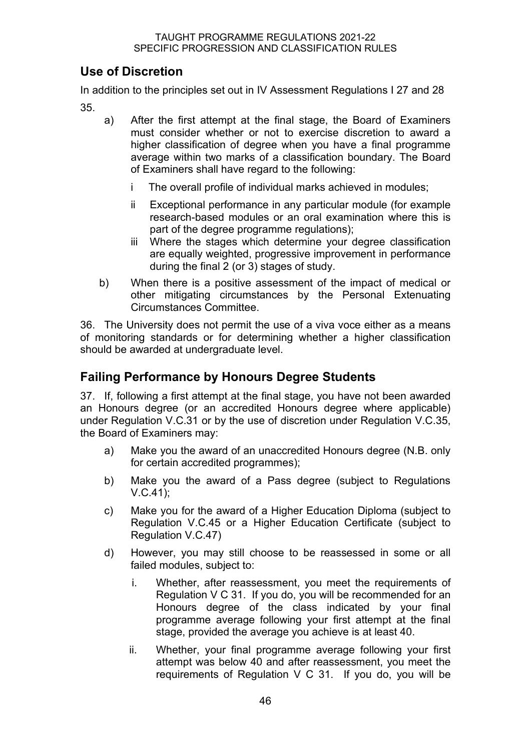## **Use of Discretion**

In addition to the principles set out in IV Assessment Regulations I 27 and 28 35.

- a) After the first attempt at the final stage, the Board of Examiners must consider whether or not to exercise discretion to award a higher classification of degree when you have a final programme average within two marks of a classification boundary. The Board of Examiners shall have regard to the following:
	- i The overall profile of individual marks achieved in modules;
	- ii Exceptional performance in any particular module (for example research-based modules or an oral examination where this is part of the degree programme regulations);
	- iii Where the stages which determine your degree classification are equally weighted, progressive improvement in performance during the final 2 (or 3) stages of study.
- b) When there is a positive assessment of the impact of medical or other mitigating circumstances by the Personal Extenuating Circumstances Committee.

36. The University does not permit the use of a viva voce either as a means of monitoring standards or for determining whether a higher classification should be awarded at undergraduate level.

## **Failing Performance by Honours Degree Students**

37. If, following a first attempt at the final stage, you have not been awarded an Honours degree (or an accredited Honours degree where applicable) under Regulation V.C.31 or by the use of discretion under Regulation V.C.35, the Board of Examiners may:

- a) Make you the award of an unaccredited Honours degree (N.B. only for certain accredited programmes);
- b) Make you the award of a Pass degree (subject to Regulations V.C.41);
- c) Make you for the award of a Higher Education Diploma (subject to Regulation V.C.45 or a Higher Education Certificate (subject to Regulation V.C.47)
- d) However, you may still choose to be reassessed in some or all failed modules, subject to:
	- i. Whether, after reassessment, you meet the requirements of Regulation V C 31. If you do, you will be recommended for an Honours degree of the class indicated by your final programme average following your first attempt at the final stage, provided the average you achieve is at least 40.
	- ii. Whether, your final programme average following your first attempt was below 40 and after reassessment, you meet the requirements of Regulation V C 31. If you do, you will be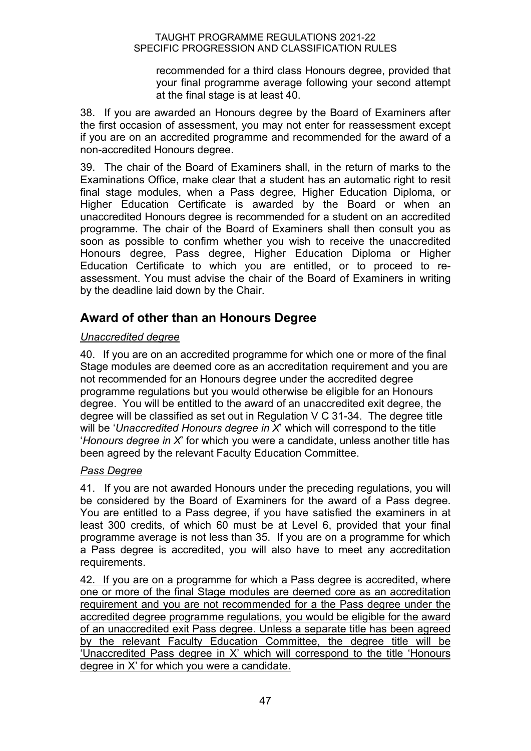recommended for a third class Honours degree, provided that your final programme average following your second attempt at the final stage is at least 40.

38. If you are awarded an Honours degree by the Board of Examiners after the first occasion of assessment, you may not enter for reassessment except if you are on an accredited programme and recommended for the award of a non-accredited Honours degree.

39. The chair of the Board of Examiners shall, in the return of marks to the Examinations Office, make clear that a student has an automatic right to resit final stage modules, when a Pass degree, Higher Education Diploma, or Higher Education Certificate is awarded by the Board or when an unaccredited Honours degree is recommended for a student on an accredited programme. The chair of the Board of Examiners shall then consult you as soon as possible to confirm whether you wish to receive the unaccredited Honours degree, Pass degree, Higher Education Diploma or Higher Education Certificate to which you are entitled, or to proceed to reassessment. You must advise the chair of the Board of Examiners in writing by the deadline laid down by the Chair.

## **Award of other than an Honours Degree**

#### *Unaccredited degree*

40. If you are on an accredited programme for which one or more of the final Stage modules are deemed core as an accreditation requirement and you are not recommended for an Honours degree under the accredited degree programme regulations but you would otherwise be eligible for an Honours degree. You will be entitled to the award of an unaccredited exit degree, the degree will be classified as set out in Regulation V C 31-34. The degree title will be '*Unaccredited Honours degree in X*' which will correspond to the title '*Honours degree in X*' for which you were a candidate, unless another title has been agreed by the relevant Faculty Education Committee.

#### *Pass Degree*

41. If you are not awarded Honours under the preceding regulations, you will be considered by the Board of Examiners for the award of a Pass degree. You are entitled to a Pass degree, if you have satisfied the examiners in at least 300 credits, of which 60 must be at Level 6, provided that your final programme average is not less than 35. If you are on a programme for which a Pass degree is accredited, you will also have to meet any accreditation requirements.

42. If you are on a programme for which a Pass degree is accredited, where one or more of the final Stage modules are deemed core as an accreditation requirement and you are not recommended for a the Pass degree under the accredited degree programme regulations, you would be eligible for the award of an unaccredited exit Pass degree. Unless a separate title has been agreed by the relevant Faculty Education Committee, the degree title will be 'Unaccredited Pass degree in X' which will correspond to the title 'Honours degree in X' for which you were a candidate.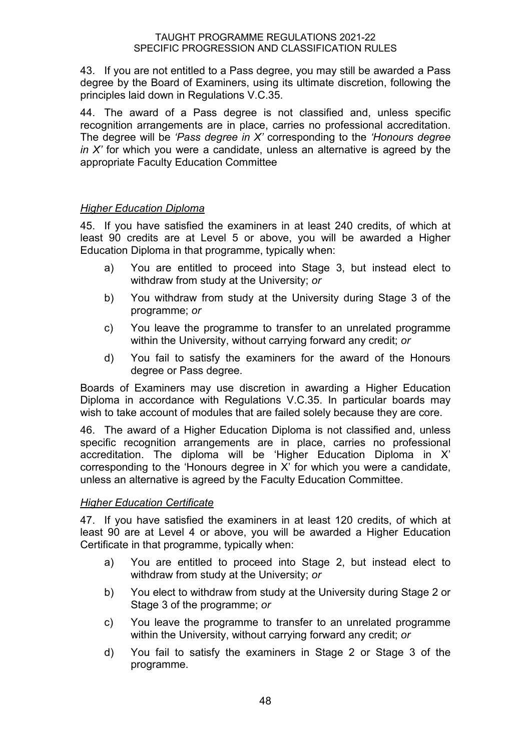43. If you are not entitled to a Pass degree, you may still be awarded a Pass degree by the Board of Examiners, using its ultimate discretion, following the principles laid down in Regulations V.C.35.

44. The award of a Pass degree is not classified and, unless specific recognition arrangements are in place, carries no professional accreditation. The degree will be *'Pass degree in X'* corresponding to the *'Honours degree in X'* for which you were a candidate, unless an alternative is agreed by the appropriate Faculty Education Committee

#### *Higher Education Diploma*

45. If you have satisfied the examiners in at least 240 credits, of which at least 90 credits are at Level 5 or above, you will be awarded a Higher Education Diploma in that programme, typically when:

- a) You are entitled to proceed into Stage 3, but instead elect to withdraw from study at the University; *or*
- b) You withdraw from study at the University during Stage 3 of the programme; *or*
- c) You leave the programme to transfer to an unrelated programme within the University, without carrying forward any credit; *or*
- d) You fail to satisfy the examiners for the award of the Honours degree or Pass degree.

Boards of Examiners may use discretion in awarding a Higher Education Diploma in accordance with Regulations V.C.35. In particular boards may wish to take account of modules that are failed solely because they are core.

46. The award of a Higher Education Diploma is not classified and, unless specific recognition arrangements are in place, carries no professional accreditation. The diploma will be 'Higher Education Diploma in X' corresponding to the 'Honours degree in X' for which you were a candidate, unless an alternative is agreed by the Faculty Education Committee.

#### *Higher Education Certificate*

47. If you have satisfied the examiners in at least 120 credits, of which at least 90 are at Level 4 or above, you will be awarded a Higher Education Certificate in that programme, typically when:

- a) You are entitled to proceed into Stage 2, but instead elect to withdraw from study at the University; *or*
- b) You elect to withdraw from study at the University during Stage 2 or Stage 3 of the programme; *or*
- c) You leave the programme to transfer to an unrelated programme within the University, without carrying forward any credit; *or*
- d) You fail to satisfy the examiners in Stage 2 or Stage 3 of the programme.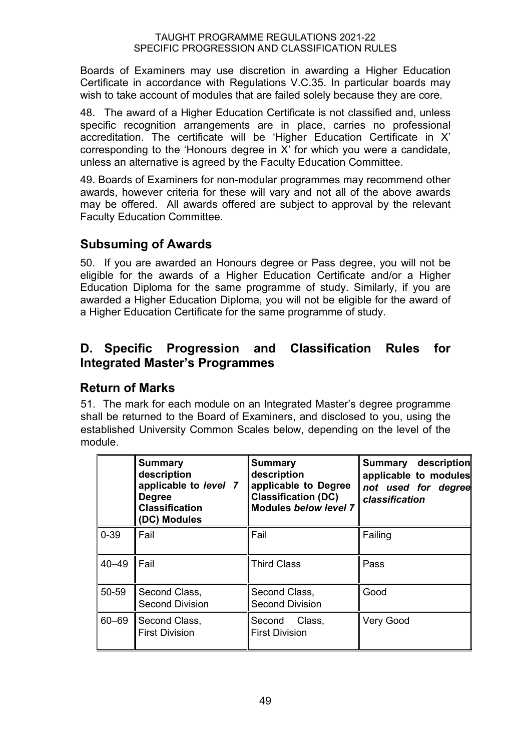Boards of Examiners may use discretion in awarding a Higher Education Certificate in accordance with Regulations V.C.35. In particular boards may wish to take account of modules that are failed solely because they are core.

48. The award of a Higher Education Certificate is not classified and, unless specific recognition arrangements are in place, carries no professional accreditation. The certificate will be 'Higher Education Certificate in X' corresponding to the 'Honours degree in X' for which you were a candidate, unless an alternative is agreed by the Faculty Education Committee.

49. Boards of Examiners for non-modular programmes may recommend other awards, however criteria for these will vary and not all of the above awards may be offered. All awards offered are subject to approval by the relevant Faculty Education Committee.

## **Subsuming of Awards**

50. If you are awarded an Honours degree or Pass degree, you will not be eligible for the awards of a Higher Education Certificate and/or a Higher Education Diploma for the same programme of study. Similarly, if you are awarded a Higher Education Diploma, you will not be eligible for the award of a Higher Education Certificate for the same programme of study.

## **D. Specific Progression and Classification Rules for Integrated Master's Programmes**

#### **Return of Marks**

51. The mark for each module on an Integrated Master's degree programme shall be returned to the Board of Examiners, and disclosed to you, using the established University Common Scales below, depending on the level of the module.

|           | <b>Summary</b><br>description<br>applicable to level 7<br><b>Degree</b><br><b>Classification</b><br>(DC) Modules | <b>Summary</b><br>description<br>applicable to Degree<br><b>Classification (DC)</b><br><b>Modules below level 7</b> | Summary description<br>applicable to modules<br>not used for degree<br>classification |
|-----------|------------------------------------------------------------------------------------------------------------------|---------------------------------------------------------------------------------------------------------------------|---------------------------------------------------------------------------------------|
| $0 - 39$  | Fail                                                                                                             | Fail                                                                                                                | Failing                                                                               |
| $40 - 49$ | I Fail                                                                                                           | <b>Third Class</b>                                                                                                  | Pass                                                                                  |
| 50-59     | Second Class,<br><b>Second Division</b>                                                                          | Second Class,<br><b>Second Division</b>                                                                             | Good                                                                                  |
| $60 - 69$ | Second Class,<br><b>First Division</b>                                                                           | Class,<br>Second<br><b>First Division</b>                                                                           | Very Good                                                                             |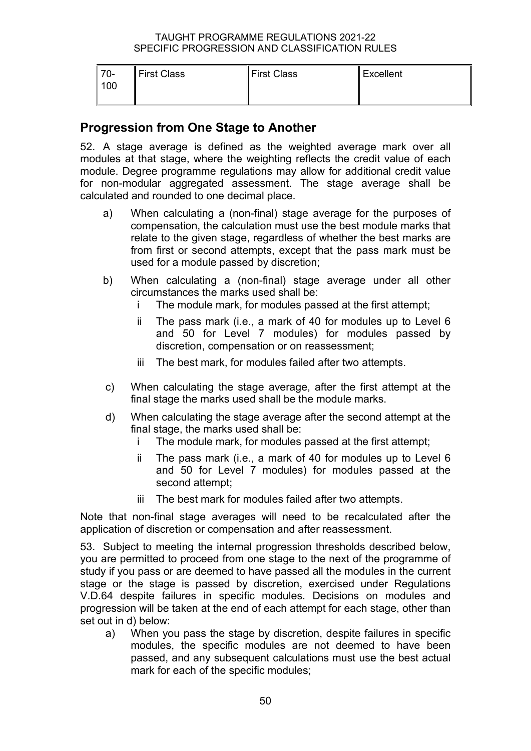| $-70-$ | First Class | First Class | $\parallel$ Excellent |
|--------|-------------|-------------|-----------------------|
| 100    |             |             |                       |
|        |             |             |                       |

#### **Progression from One Stage to Another**

52. A stage average is defined as the weighted average mark over all modules at that stage, where the weighting reflects the credit value of each module. Degree programme regulations may allow for additional credit value for non-modular aggregated assessment. The stage average shall be calculated and rounded to one decimal place.

- a) When calculating a (non-final) stage average for the purposes of compensation, the calculation must use the best module marks that relate to the given stage, regardless of whether the best marks are from first or second attempts, except that the pass mark must be used for a module passed by discretion;
- b) When calculating a (non-final) stage average under all other circumstances the marks used shall be:
	- i The module mark, for modules passed at the first attempt;
	- ii The pass mark (i.e., a mark of 40 for modules up to Level 6 and 50 for Level 7 modules) for modules passed by discretion, compensation or on reassessment;
	- iii The best mark, for modules failed after two attempts.
- c) When calculating the stage average, after the first attempt at the final stage the marks used shall be the module marks.
- d) When calculating the stage average after the second attempt at the final stage, the marks used shall be:
	- i The module mark, for modules passed at the first attempt;
	- ii The pass mark (i.e., a mark of 40 for modules up to Level 6 and 50 for Level 7 modules) for modules passed at the second attempt;
	- iii The best mark for modules failed after two attempts.

Note that non-final stage averages will need to be recalculated after the application of discretion or compensation and after reassessment.

53. Subject to meeting the internal progression thresholds described below, you are permitted to proceed from one stage to the next of the programme of study if you pass or are deemed to have passed all the modules in the current stage or the stage is passed by discretion, exercised under Regulations V.D.64 despite failures in specific modules. Decisions on modules and progression will be taken at the end of each attempt for each stage, other than set out in d) below:

a) When you pass the stage by discretion, despite failures in specific modules, the specific modules are not deemed to have been passed, and any subsequent calculations must use the best actual mark for each of the specific modules;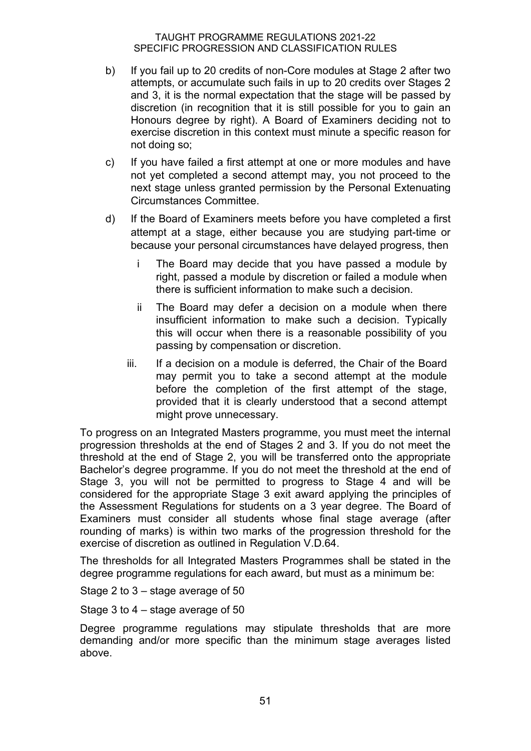- b) If you fail up to 20 credits of non-Core modules at Stage 2 after two attempts, or accumulate such fails in up to 20 credits over Stages 2 and 3, it is the normal expectation that the stage will be passed by discretion (in recognition that it is still possible for you to gain an Honours degree by right). A Board of Examiners deciding not to exercise discretion in this context must minute a specific reason for not doing so;
- c) If you have failed a first attempt at one or more modules and have not yet completed a second attempt may, you not proceed to the next stage unless granted permission by the Personal Extenuating Circumstances Committee.
- d) If the Board of Examiners meets before you have completed a first attempt at a stage, either because you are studying part-time or because your personal circumstances have delayed progress, then
	- i The Board may decide that you have passed a module by right, passed a module by discretion or failed a module when there is sufficient information to make such a decision.
	- ii The Board may defer a decision on a module when there insufficient information to make such a decision. Typically this will occur when there is a reasonable possibility of you passing by compensation or discretion.
	- iii. If a decision on a module is deferred, the Chair of the Board may permit you to take a second attempt at the module before the completion of the first attempt of the stage, provided that it is clearly understood that a second attempt might prove unnecessary.

To progress on an Integrated Masters programme, you must meet the internal progression thresholds at the end of Stages 2 and 3. If you do not meet the threshold at the end of Stage 2, you will be transferred onto the appropriate Bachelor's degree programme. If you do not meet the threshold at the end of Stage 3, you will not be permitted to progress to Stage 4 and will be considered for the appropriate Stage 3 exit award applying the principles of the Assessment Regulations for students on a 3 year degree. The Board of Examiners must consider all students whose final stage average (after rounding of marks) is within two marks of the progression threshold for the exercise of discretion as outlined in Regulation V.D.64.

The thresholds for all Integrated Masters Programmes shall be stated in the degree programme regulations for each award, but must as a minimum be:

Stage 2 to 3 – stage average of 50

Stage 3 to 4 – stage average of 50

Degree programme regulations may stipulate thresholds that are more demanding and/or more specific than the minimum stage averages listed above.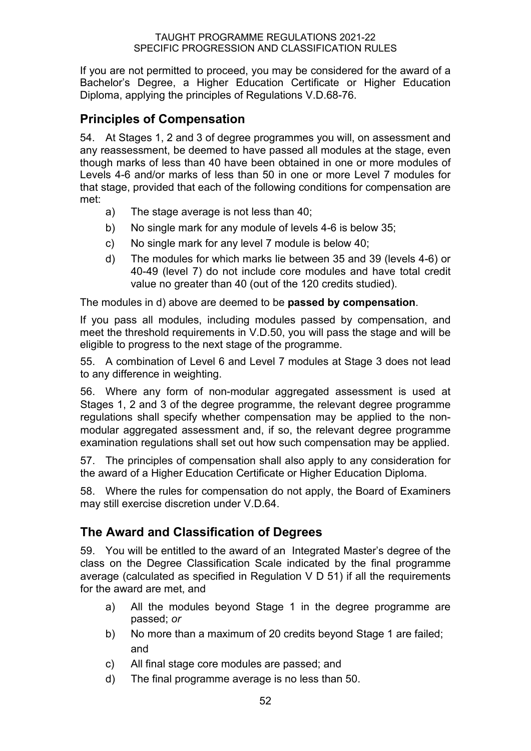If you are not permitted to proceed, you may be considered for the award of a Bachelor's Degree, a Higher Education Certificate or Higher Education Diploma, applying the principles of Regulations V.D.68-76.

## **Principles of Compensation**

54. At Stages 1, 2 and 3 of degree programmes you will, on assessment and any reassessment, be deemed to have passed all modules at the stage, even though marks of less than 40 have been obtained in one or more modules of Levels 4-6 and/or marks of less than 50 in one or more Level 7 modules for that stage, provided that each of the following conditions for compensation are met:

- a) The stage average is not less than 40;
- b) No single mark for any module of levels 4-6 is below 35;
- c) No single mark for any level 7 module is below 40;
- d) The modules for which marks lie between 35 and 39 (levels 4-6) or 40-49 (level 7) do not include core modules and have total credit value no greater than 40 (out of the 120 credits studied).

The modules in d) above are deemed to be **passed by compensation**.

If you pass all modules, including modules passed by compensation, and meet the threshold requirements in V.D.50, you will pass the stage and will be eligible to progress to the next stage of the programme.

55. A combination of Level 6 and Level 7 modules at Stage 3 does not lead to any difference in weighting.

56. Where any form of non-modular aggregated assessment is used at Stages 1, 2 and 3 of the degree programme, the relevant degree programme regulations shall specify whether compensation may be applied to the nonmodular aggregated assessment and, if so, the relevant degree programme examination regulations shall set out how such compensation may be applied.

57. The principles of compensation shall also apply to any consideration for the award of a Higher Education Certificate or Higher Education Diploma.

58. Where the rules for compensation do not apply, the Board of Examiners may still exercise discretion under V.D.64.

## **The Award and Classification of Degrees**

59. You will be entitled to the award of an Integrated Master's degree of the class on the Degree Classification Scale indicated by the final programme average (calculated as specified in Regulation V D 51) if all the requirements for the award are met, and

- a) All the modules beyond Stage 1 in the degree programme are passed; *or*
- b) No more than a maximum of 20 credits beyond Stage 1 are failed; and
- c) All final stage core modules are passed; and
- d) The final programme average is no less than 50.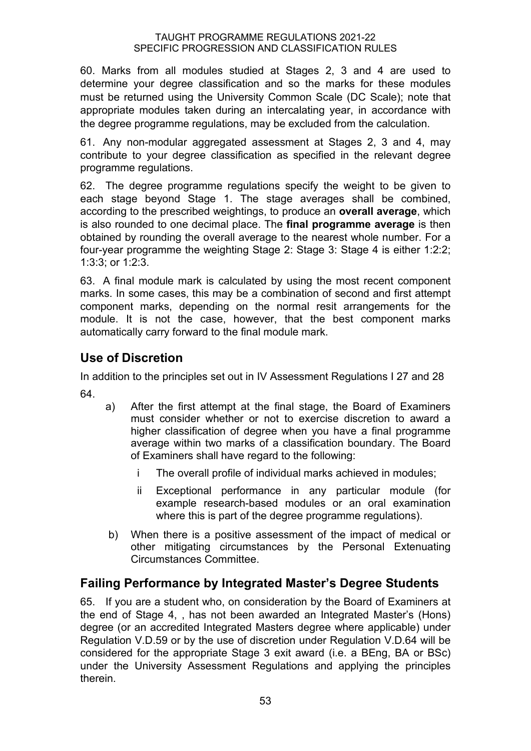60. Marks from all modules studied at Stages 2, 3 and 4 are used to determine your degree classification and so the marks for these modules must be returned using the University Common Scale (DC Scale); note that appropriate modules taken during an intercalating year, in accordance with the degree programme regulations, may be excluded from the calculation.

61. Any non-modular aggregated assessment at Stages 2, 3 and 4, may contribute to your degree classification as specified in the relevant degree programme regulations.

62. The degree programme regulations specify the weight to be given to each stage beyond Stage 1. The stage averages shall be combined, according to the prescribed weightings, to produce an **overall average**, which is also rounded to one decimal place. The **final programme average** is then obtained by rounding the overall average to the nearest whole number. For a four-year programme the weighting Stage 2: Stage 3: Stage 4 is either 1:2:2; 1:3:3; or 1:2:3.

63. A final module mark is calculated by using the most recent component marks. In some cases, this may be a combination of second and first attempt component marks, depending on the normal resit arrangements for the module. It is not the case, however, that the best component marks automatically carry forward to the final module mark.

## **Use of Discretion**

In addition to the principles set out in IV Assessment Regulations I 27 and 28 64.

- a) After the first attempt at the final stage, the Board of Examiners must consider whether or not to exercise discretion to award a higher classification of degree when you have a final programme average within two marks of a classification boundary. The Board of Examiners shall have regard to the following:
	- i The overall profile of individual marks achieved in modules;
	- ii Exceptional performance in any particular module (for example research-based modules or an oral examination where this is part of the degree programme regulations).
- b) When there is a positive assessment of the impact of medical or other mitigating circumstances by the Personal Extenuating Circumstances Committee.

## **Failing Performance by Integrated Master's Degree Students**

65. If you are a student who, on consideration by the Board of Examiners at the end of Stage 4, , has not been awarded an Integrated Master's (Hons) degree (or an accredited Integrated Masters degree where applicable) under Regulation V.D.59 or by the use of discretion under Regulation V.D.64 will be considered for the appropriate Stage 3 exit award (i.e. a BEng, BA or BSc) under the University Assessment Regulations and applying the principles therein.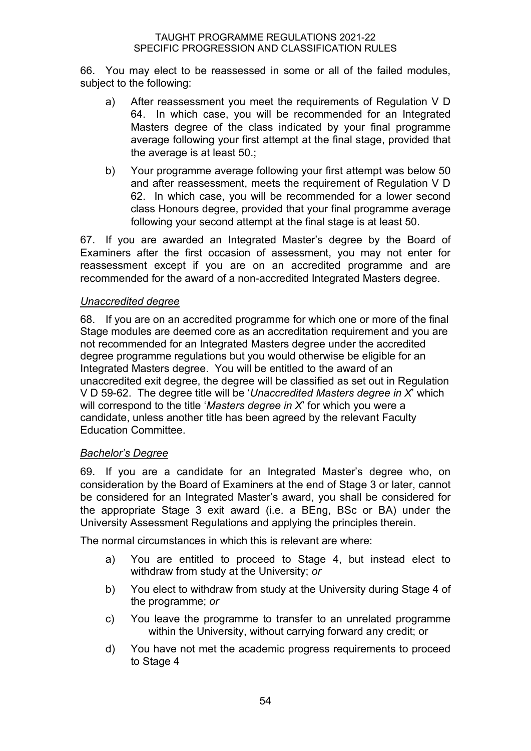66. You may elect to be reassessed in some or all of the failed modules, subject to the following:

- a) After reassessment you meet the requirements of Regulation V D 64. In which case, you will be recommended for an Integrated Masters degree of the class indicated by your final programme average following your first attempt at the final stage, provided that the average is at least 50.;
- b) Your programme average following your first attempt was below 50 and after reassessment, meets the requirement of Regulation V D 62. In which case, you will be recommended for a lower second class Honours degree, provided that your final programme average following your second attempt at the final stage is at least 50.

67. If you are awarded an Integrated Master's degree by the Board of Examiners after the first occasion of assessment, you may not enter for reassessment except if you are on an accredited programme and are recommended for the award of a non-accredited Integrated Masters degree.

#### *Unaccredited degree*

68. If you are on an accredited programme for which one or more of the final Stage modules are deemed core as an accreditation requirement and you are not recommended for an Integrated Masters degree under the accredited degree programme regulations but you would otherwise be eligible for an Integrated Masters degree. You will be entitled to the award of an unaccredited exit degree, the degree will be classified as set out in Regulation V D 59-62. The degree title will be '*Unaccredited Masters degree in X*' which will correspond to the title '*Masters degree in X*' for which you were a candidate, unless another title has been agreed by the relevant Faculty Education Committee.

#### *Bachelor's Degree*

69. If you are a candidate for an Integrated Master's degree who, on consideration by the Board of Examiners at the end of Stage 3 or later, cannot be considered for an Integrated Master's award, you shall be considered for the appropriate Stage 3 exit award (i.e. a BEng, BSc or BA) under the University Assessment Regulations and applying the principles therein.

The normal circumstances in which this is relevant are where:

- a) You are entitled to proceed to Stage 4, but instead elect to withdraw from study at the University; *or*
- b) You elect to withdraw from study at the University during Stage 4 of the programme; *or*
- c) You leave the programme to transfer to an unrelated programme within the University, without carrying forward any credit; or
- d) You have not met the academic progress requirements to proceed to Stage 4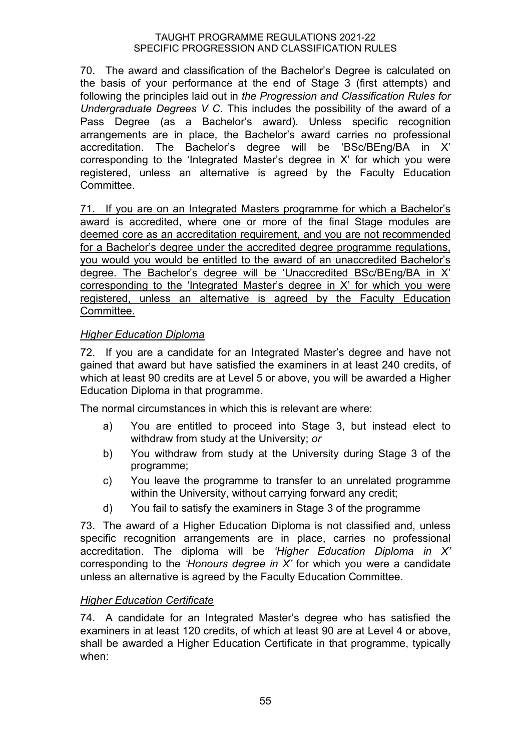70. The award and classification of the Bachelor's Degree is calculated on the basis of your performance at the end of Stage 3 (first attempts) and following the principles laid out in *the Progression and Classification Rules for Undergraduate Degrees V C*. This includes the possibility of the award of a Pass Degree (as a Bachelor's award). Unless specific recognition arrangements are in place, the Bachelor's award carries no professional accreditation. The Bachelor's degree will be 'BSc/BEng/BA in X' corresponding to the 'Integrated Master's degree in X' for which you were registered, unless an alternative is agreed by the Faculty Education Committee.

71. If you are on an Integrated Masters programme for which a Bachelor's award is accredited, where one or more of the final Stage modules are deemed core as an accreditation requirement, and you are not recommended for a Bachelor's degree under the accredited degree programme regulations, you would you would be entitled to the award of an unaccredited Bachelor's degree. The Bachelor's degree will be 'Unaccredited BSc/BEng/BA in X' corresponding to the 'Integrated Master's degree in X' for which you were registered, unless an alternative is agreed by the Faculty Education Committee.

#### *Higher Education Diploma*

72. If you are a candidate for an Integrated Master's degree and have not gained that award but have satisfied the examiners in at least 240 credits, of which at least 90 credits are at Level 5 or above, you will be awarded a Higher Education Diploma in that programme.

The normal circumstances in which this is relevant are where:

- a) You are entitled to proceed into Stage 3, but instead elect to withdraw from study at the University; *or*
- b) You withdraw from study at the University during Stage 3 of the programme;
- c) You leave the programme to transfer to an unrelated programme within the University, without carrying forward any credit;
- d) You fail to satisfy the examiners in Stage 3 of the programme

73. The award of a Higher Education Diploma is not classified and, unless specific recognition arrangements are in place, carries no professional accreditation. The diploma will be *'Higher Education Diploma in X'* corresponding to the *'Honours degree in X'* for which you were a candidate unless an alternative is agreed by the Faculty Education Committee.

#### *Higher Education Certificate*

74. A candidate for an Integrated Master's degree who has satisfied the examiners in at least 120 credits, of which at least 90 are at Level 4 or above, shall be awarded a Higher Education Certificate in that programme, typically when: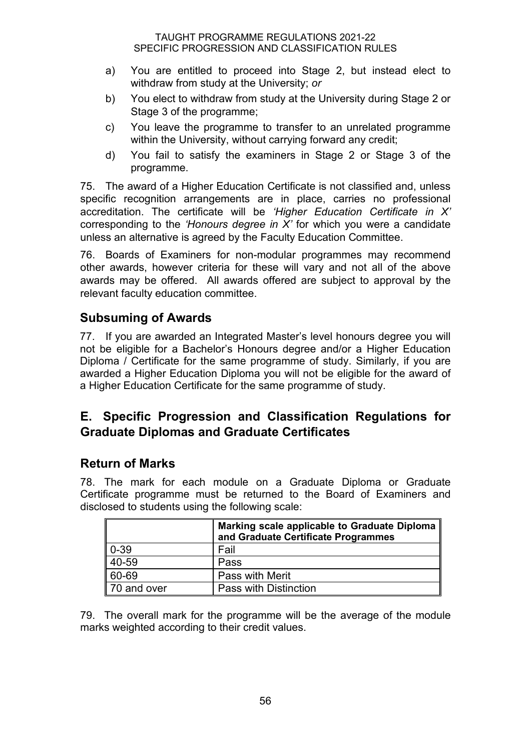- a) You are entitled to proceed into Stage 2, but instead elect to withdraw from study at the University; *or*
- b) You elect to withdraw from study at the University during Stage 2 or Stage 3 of the programme;
- c) You leave the programme to transfer to an unrelated programme within the University, without carrying forward any credit;
- d) You fail to satisfy the examiners in Stage 2 or Stage 3 of the programme.

75. The award of a Higher Education Certificate is not classified and, unless specific recognition arrangements are in place, carries no professional accreditation. The certificate will be *'Higher Education Certificate in X'* corresponding to the *'Honours degree in X'* for which you were a candidate unless an alternative is agreed by the Faculty Education Committee.

76. Boards of Examiners for non-modular programmes may recommend other awards, however criteria for these will vary and not all of the above awards may be offered. All awards offered are subject to approval by the relevant faculty education committee.

## **Subsuming of Awards**

77. If you are awarded an Integrated Master's level honours degree you will not be eligible for a Bachelor's Honours degree and/or a Higher Education Diploma / Certificate for the same programme of study. Similarly, if you are awarded a Higher Education Diploma you will not be eligible for the award of a Higher Education Certificate for the same programme of study.

## **E. Specific Progression and Classification Regulations for Graduate Diplomas and Graduate Certificates**

#### **Return of Marks**

78. The mark for each module on a Graduate Diploma or Graduate Certificate programme must be returned to the Board of Examiners and disclosed to students using the following scale:

|                  | Marking scale applicable to Graduate Diploma<br>and Graduate Certificate Programmes |
|------------------|-------------------------------------------------------------------------------------|
| $\parallel$ 0-39 | Fail                                                                                |
| 40-59            | Pass                                                                                |
| 60-69            | <b>Pass with Merit</b>                                                              |
| 70 and over      | Pass with Distinction                                                               |

79. The overall mark for the programme will be the average of the module marks weighted according to their credit values.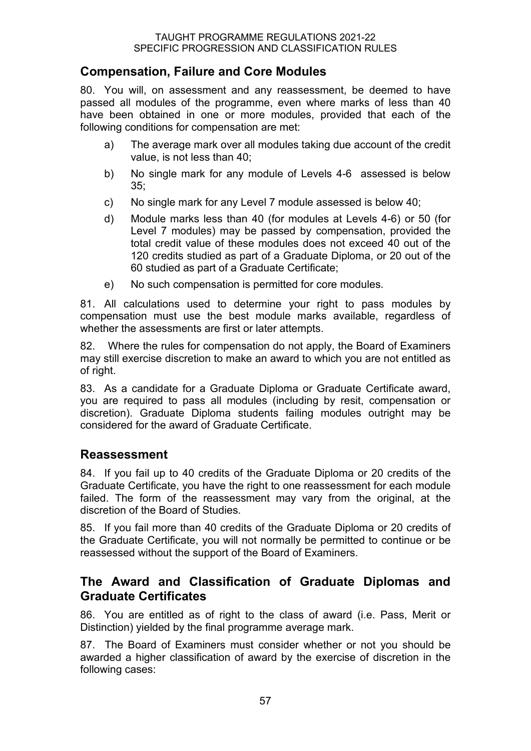## **Compensation, Failure and Core Modules**

80. You will, on assessment and any reassessment, be deemed to have passed all modules of the programme, even where marks of less than 40 have been obtained in one or more modules, provided that each of the following conditions for compensation are met:

- a) The average mark over all modules taking due account of the credit value, is not less than 40;
- b) No single mark for any module of Levels 4-6 assessed is below  $35:$
- c) No single mark for any Level 7 module assessed is below 40;
- d) Module marks less than 40 (for modules at Levels 4-6) or 50 (for Level 7 modules) may be passed by compensation, provided the total credit value of these modules does not exceed 40 out of the 120 credits studied as part of a Graduate Diploma, or 20 out of the 60 studied as part of a Graduate Certificate;
- e) No such compensation is permitted for core modules.

81. All calculations used to determine your right to pass modules by compensation must use the best module marks available, regardless of whether the assessments are first or later attempts.

82. Where the rules for compensation do not apply, the Board of Examiners may still exercise discretion to make an award to which you are not entitled as of right.

83. As a candidate for a Graduate Diploma or Graduate Certificate award, you are required to pass all modules (including by resit, compensation or discretion). Graduate Diploma students failing modules outright may be considered for the award of Graduate Certificate.

#### **Reassessment**

84. If you fail up to 40 credits of the Graduate Diploma or 20 credits of the Graduate Certificate, you have the right to one reassessment for each module failed. The form of the reassessment may vary from the original, at the discretion of the Board of Studies.

85. If you fail more than 40 credits of the Graduate Diploma or 20 credits of the Graduate Certificate, you will not normally be permitted to continue or be reassessed without the support of the Board of Examiners.

#### **The Award and Classification of Graduate Diplomas and Graduate Certificates**

86. You are entitled as of right to the class of award (i.e. Pass, Merit or Distinction) yielded by the final programme average mark.

87. The Board of Examiners must consider whether or not you should be awarded a higher classification of award by the exercise of discretion in the following cases: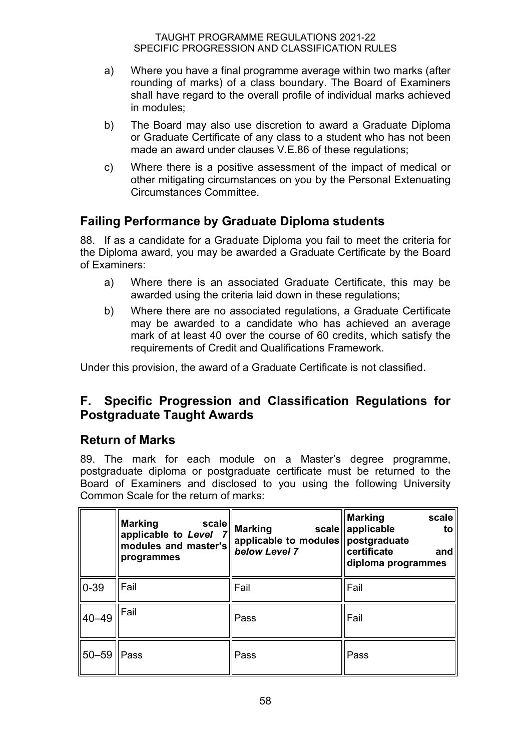- a) Where you have a final programme average within two marks (after rounding of marks) of a class boundary. The Board of Examiners shall have regard to the overall profile of individual marks achieved in modules;
- b) The Board may also use discretion to award a Graduate Diploma or Graduate Certificate of any class to a student who has not been made an award under clauses V.E.86 of these regulations;
- c) Where there is a positive assessment of the impact of medical or other mitigating circumstances on you by the Personal Extenuating Circumstances Committee.

## **Failing Performance by Graduate Diploma students**

88. If as a candidate for a Graduate Diploma you fail to meet the criteria for the Diploma award, you may be awarded a Graduate Certificate by the Board of Examiners:

- a) Where there is an associated Graduate Certificate, this may be awarded using the criteria laid down in these regulations;
- b) Where there are no associated regulations, a Graduate Certificate may be awarded to a candidate who has achieved an average mark of at least 40 over the course of 60 credits, which satisfy the requirements of Credit and Qualifications Framework.

Under this provision, the award of a Graduate Certificate is not classified.

## **F. Specific Progression and Classification Regulations for Postgraduate Taught Awards**

#### **Return of Marks**

89. The mark for each module on a Master's degree programme, postgraduate diploma or postgraduate certificate must be returned to the Board of Examiners and disclosed to you using the following University Common Scale for the return of marks:

|                  | <b>Marking</b><br>scale<br>applicable to Level<br>modules and master's<br>programmes | <b>Marking</b><br>scale<br>applicable to modules   postgraduate<br>below Level 7 | <b>Marking</b><br>scale<br>applicable<br>to<br>certificate<br>and<br>diploma programmes |
|------------------|--------------------------------------------------------------------------------------|----------------------------------------------------------------------------------|-----------------------------------------------------------------------------------------|
| $\parallel$ 0-39 | Fail                                                                                 | Fail                                                                             | Fail                                                                                    |
| $ 40 - 49 $      | <b>Fail</b>                                                                          | Pass                                                                             | Fail                                                                                    |
| 50–59    Pass    |                                                                                      | Pass                                                                             | Pass                                                                                    |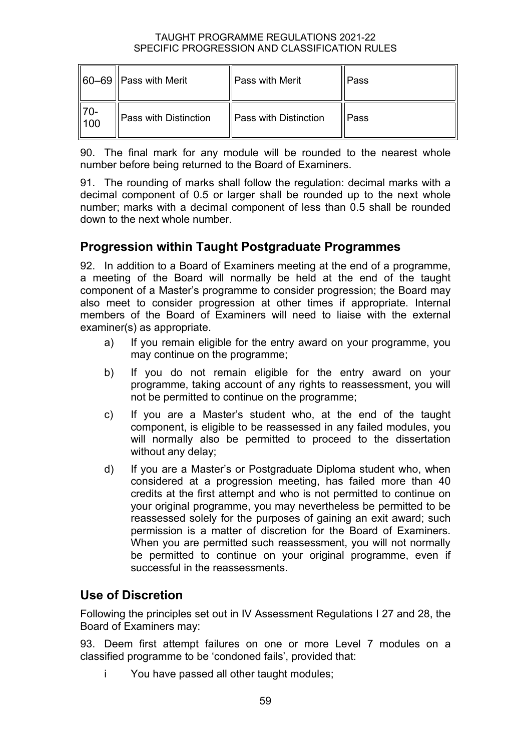|                                    | $  60-69  $ Pass with Merit | <b>Pass with Merit</b>       | Pass |
|------------------------------------|-----------------------------|------------------------------|------|
| $\parallel$ 70-<br>$\parallel$ 100 | Pass with Distinction       | <b>Pass with Distinction</b> | Pass |

90. The final mark for any module will be rounded to the nearest whole number before being returned to the Board of Examiners.

91. The rounding of marks shall follow the regulation: decimal marks with a decimal component of 0.5 or larger shall be rounded up to the next whole number; marks with a decimal component of less than 0.5 shall be rounded down to the next whole number.

## **Progression within Taught Postgraduate Programmes**

92. In addition to a Board of Examiners meeting at the end of a programme, a meeting of the Board will normally be held at the end of the taught component of a Master's programme to consider progression; the Board may also meet to consider progression at other times if appropriate. Internal members of the Board of Examiners will need to liaise with the external examiner(s) as appropriate.

- a) If you remain eligible for the entry award on your programme, you may continue on the programme;
- b) If you do not remain eligible for the entry award on your programme, taking account of any rights to reassessment, you will not be permitted to continue on the programme;
- c) If you are a Master's student who, at the end of the taught component, is eligible to be reassessed in any failed modules, you will normally also be permitted to proceed to the dissertation without any delay;
- d) If you are a Master's or Postgraduate Diploma student who, when considered at a progression meeting, has failed more than 40 credits at the first attempt and who is not permitted to continue on your original programme, you may nevertheless be permitted to be reassessed solely for the purposes of gaining an exit award; such permission is a matter of discretion for the Board of Examiners. When you are permitted such reassessment, you will not normally be permitted to continue on your original programme, even if successful in the reassessments.

## **Use of Discretion**

Following the principles set out in IV Assessment Regulations I 27 and 28, the Board of Examiners may:

93. Deem first attempt failures on one or more Level 7 modules on a classified programme to be 'condoned fails', provided that:

i You have passed all other taught modules;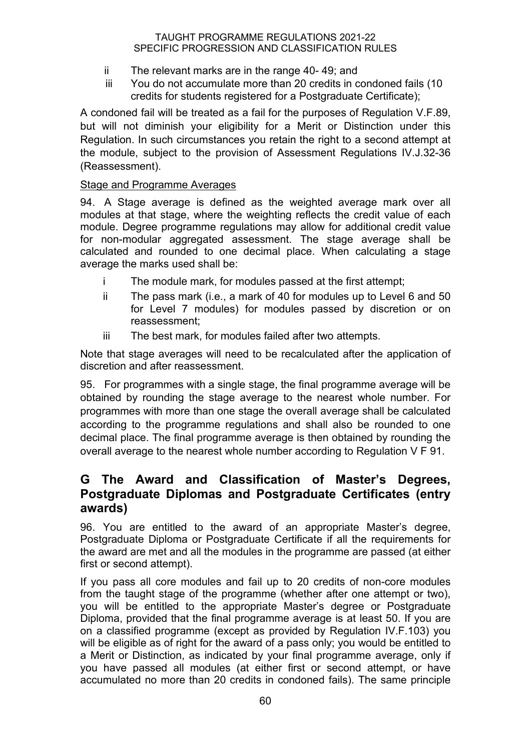- ii The relevant marks are in the range 40- 49; and
- iii You do not accumulate more than 20 credits in condoned fails (10 credits for students registered for a Postgraduate Certificate);

A condoned fail will be treated as a fail for the purposes of Regulation V.F.89, but will not diminish your eligibility for a Merit or Distinction under this Regulation. In such circumstances you retain the right to a second attempt at the module, subject to the provision of Assessment Regulations IV.J.32-36 (Reassessment).

#### Stage and Programme Averages

94. A Stage average is defined as the weighted average mark over all modules at that stage, where the weighting reflects the credit value of each module. Degree programme regulations may allow for additional credit value for non-modular aggregated assessment. The stage average shall be calculated and rounded to one decimal place. When calculating a stage average the marks used shall be:

- i The module mark, for modules passed at the first attempt;
- ii The pass mark (i.e., a mark of 40 for modules up to Level 6 and 50 for Level 7 modules) for modules passed by discretion or on reassessment;
- iii The best mark, for modules failed after two attempts.

Note that stage averages will need to be recalculated after the application of discretion and after reassessment.

95. For programmes with a single stage, the final programme average will be obtained by rounding the stage average to the nearest whole number. For programmes with more than one stage the overall average shall be calculated according to the programme regulations and shall also be rounded to one decimal place. The final programme average is then obtained by rounding the overall average to the nearest whole number according to Regulation V F 91.

#### **G The Award and Classification of Master's Degrees, Postgraduate Diplomas and Postgraduate Certificates (entry awards)**

96. You are entitled to the award of an appropriate Master's degree, Postgraduate Diploma or Postgraduate Certificate if all the requirements for the award are met and all the modules in the programme are passed (at either first or second attempt).

If you pass all core modules and fail up to 20 credits of non-core modules from the taught stage of the programme (whether after one attempt or two), you will be entitled to the appropriate Master's degree or Postgraduate Diploma, provided that the final programme average is at least 50. If you are on a classified programme (except as provided by Regulation IV.F.103) you will be eligible as of right for the award of a pass only; you would be entitled to a Merit or Distinction, as indicated by your final programme average, only if you have passed all modules (at either first or second attempt, or have accumulated no more than 20 credits in condoned fails). The same principle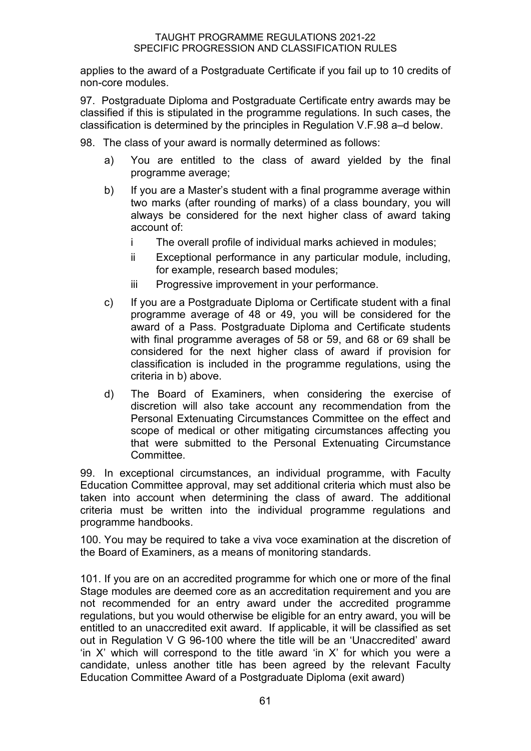applies to the award of a Postgraduate Certificate if you fail up to 10 credits of non-core modules.

97. Postgraduate Diploma and Postgraduate Certificate entry awards may be classified if this is stipulated in the programme regulations. In such cases, the classification is determined by the principles in Regulation V.F.98 a–d below.

- 98. The class of your award is normally determined as follows:
	- a) You are entitled to the class of award yielded by the final programme average;
	- b) If you are a Master's student with a final programme average within two marks (after rounding of marks) of a class boundary, you will always be considered for the next higher class of award taking account of:
		- i The overall profile of individual marks achieved in modules;
		- ii Exceptional performance in any particular module, including, for example, research based modules;
		- iii Progressive improvement in your performance.
	- c) If you are a Postgraduate Diploma or Certificate student with a final programme average of 48 or 49, you will be considered for the award of a Pass. Postgraduate Diploma and Certificate students with final programme averages of 58 or 59, and 68 or 69 shall be considered for the next higher class of award if provision for classification is included in the programme regulations, using the criteria in b) above.
	- d) The Board of Examiners, when considering the exercise of discretion will also take account any recommendation from the Personal Extenuating Circumstances Committee on the effect and scope of medical or other mitigating circumstances affecting you that were submitted to the Personal Extenuating Circumstance Committee.

99. In exceptional circumstances, an individual programme, with Faculty Education Committee approval, may set additional criteria which must also be taken into account when determining the class of award. The additional criteria must be written into the individual programme regulations and programme handbooks.

100. You may be required to take a viva voce examination at the discretion of the Board of Examiners, as a means of monitoring standards.

101. If you are on an accredited programme for which one or more of the final Stage modules are deemed core as an accreditation requirement and you are not recommended for an entry award under the accredited programme regulations, but you would otherwise be eligible for an entry award, you will be entitled to an unaccredited exit award. If applicable, it will be classified as set out in Regulation V G 96-100 where the title will be an 'Unaccredited' award 'in X' which will correspond to the title award 'in X' for which you were a candidate, unless another title has been agreed by the relevant Faculty Education Committee Award of a Postgraduate Diploma (exit award)